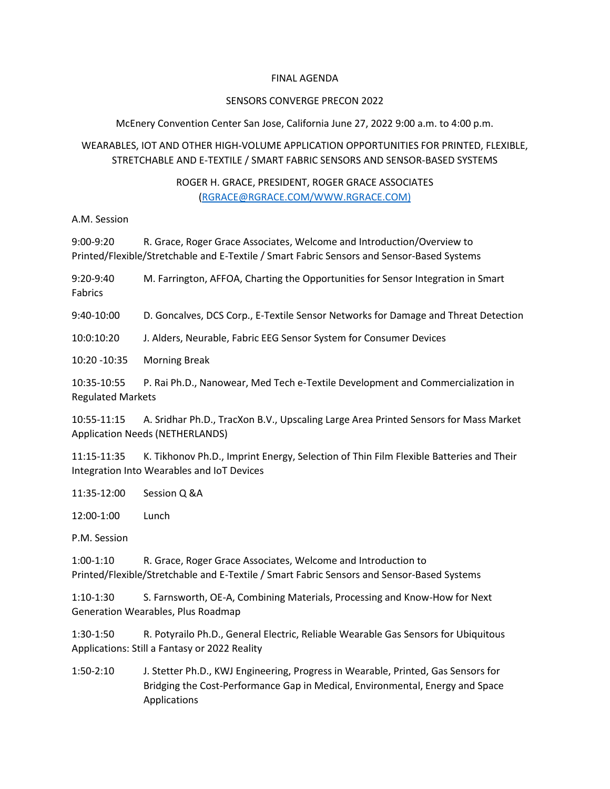#### FINAL AGENDA

#### SENSORS CONVERGE PRECON 2022

### McEnery Convention Center San Jose, California June 27, 2022 9:00 a.m. to 4:00 p.m.

# WEARABLES, IOT AND OTHER HIGH-VOLUME APPLICATION OPPORTUNITIES FOR PRINTED, FLEXIBLE, STRETCHABLE AND E-TEXTILE / SMART FABRIC SENSORS AND SENSOR-BASED SYSTEMS

## ROGER H. GRACE, PRESIDENT, ROGER GRACE ASSOCIATES [\(RGRACE@RGRACE.COM/](mailto:RGRACE@RGRACE.COM)WWW.RGRACE.COM)

A.M. Session

9:00-9:20 R. Grace, Roger Grace Associates, Welcome and Introduction/Overview to Printed/Flexible/Stretchable and E-Textile / Smart Fabric Sensors and Sensor-Based Systems

9:20-9:40 M. Farrington, AFFOA, Charting the Opportunities for Sensor Integration in Smart Fabrics

9:40-10:00 D. Goncalves, DCS Corp., E-Textile Sensor Networks for Damage and Threat Detection

10:0:10:20 J. Alders, Neurable, Fabric EEG Sensor System for Consumer Devices

10:20 -10:35 Morning Break

10:35-10:55 P. Rai Ph.D., Nanowear, Med Tech e-Textile Development and Commercialization in Regulated Markets

10:55-11:15 A. Sridhar Ph.D., TracXon B.V., Upscaling Large Area Printed Sensors for Mass Market Application Needs (NETHERLANDS)

11:15-11:35 K. Tikhonov Ph.D., Imprint Energy, Selection of Thin Film Flexible Batteries and Their Integration Into Wearables and IoT Devices

11:35-12:00 Session Q &A

12:00-1:00 Lunch

P.M. Session

1:00-1:10 R. Grace, Roger Grace Associates, Welcome and Introduction to Printed/Flexible/Stretchable and E-Textile / Smart Fabric Sensors and Sensor-Based Systems

1:10-1:30 S. Farnsworth, OE-A, Combining Materials, Processing and Know-How for Next Generation Wearables, Plus Roadmap

1:30-1:50 R. Potyrailo Ph.D., General Electric, Reliable Wearable Gas Sensors for Ubiquitous Applications: Still a Fantasy or 2022 Reality

1:50-2:10 J. Stetter Ph.D., KWJ Engineering, Progress in Wearable, Printed, Gas Sensors for Bridging the Cost-Performance Gap in Medical, Environmental, Energy and Space Applications